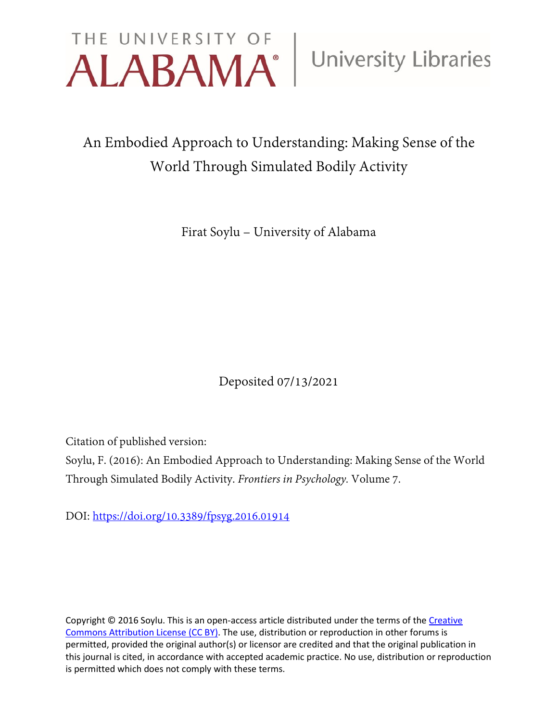

# An Embodied Approach to Understanding: Making Sense of the World Through Simulated Bodily Activity

Firat Soylu – University of Alabama

Deposited 07/13/2021

Citation of published version:

Soylu, F. (2016): An Embodied Approach to Understanding: Making Sense of the World Through Simulated Bodily Activity. *Frontiers in Psychology.* Volume 7.

DOI: <https://doi.org/10.3389/fpsyg.2016.01914>

Copyright © 2016 Soylu. This is an open-access article distributed under the terms of the Creative [Commons Attribution License \(CC BY\).](http://creativecommons.org/licenses/by/4.0/) The use, distribution or reproduction in other forums is permitted, provided the original author(s) or licensor are credited and that the original publication in this journal is cited, in accordance with accepted academic practice. No use, distribution or reproduction is permitted which does not comply with these terms.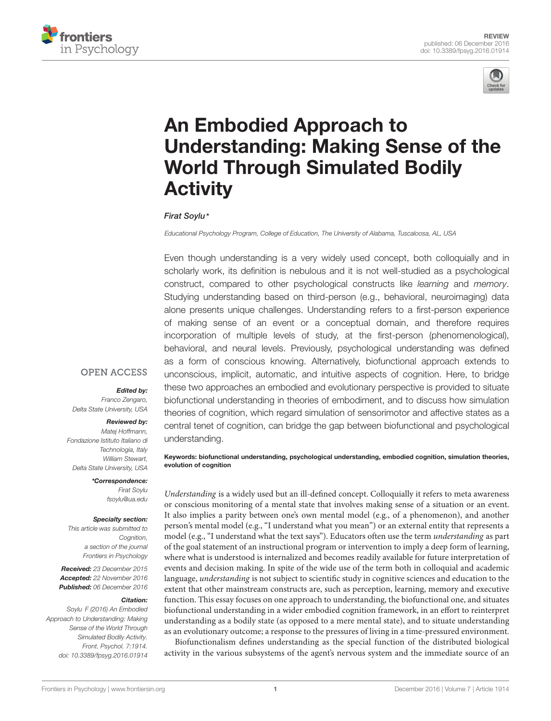



# An Embodied Approach to [Understanding: Making Sense of the](http://journal.frontiersin.org/article/10.3389/fpsyg.2016.01914/abstract) World Through Simulated Bodily **Activity**

#### [Firat Soylu](http://loop.frontiersin.org/people/180574/overview)\*

Educational Psychology Program, College of Education, The University of Alabama, Tuscaloosa, AL, USA

Even though understanding is a very widely used concept, both colloquially and in scholarly work, its definition is nebulous and it is not well-studied as a psychological construct, compared to other psychological constructs like learning and memory. Studying understanding based on third-person (e.g., behavioral, neuroimaging) data alone presents unique challenges. Understanding refers to a first-person experience of making sense of an event or a conceptual domain, and therefore requires incorporation of multiple levels of study, at the first-person (phenomenological), behavioral, and neural levels. Previously, psychological understanding was defined as a form of conscious knowing. Alternatively, biofunctional approach extends to unconscious, implicit, automatic, and intuitive aspects of cognition. Here, to bridge these two approaches an embodied and evolutionary perspective is provided to situate biofunctional understanding in theories of embodiment, and to discuss how simulation theories of cognition, which regard simulation of sensorimotor and affective states as a central tenet of cognition, can bridge the gap between biofunctional and psychological understanding.

Keywords: biofunctional understanding, psychological understanding, embodied cognition, simulation theories, evolution of cognition

Understanding is a widely used but an ill-defined concept. Colloquially it refers to meta awareness or conscious monitoring of a mental state that involves making sense of a situation or an event. It also implies a parity between one's own mental model (e.g., of a phenomenon), and another person's mental model (e.g., "I understand what you mean") or an external entity that represents a model (e.g., "I understand what the text says"). Educators often use the term understanding as part of the goal statement of an instructional program or intervention to imply a deep form of learning, where what is understood is internalized and becomes readily available for future interpretation of events and decision making. In spite of the wide use of the term both in colloquial and academic language, understanding is not subject to scientific study in cognitive sciences and education to the extent that other mainstream constructs are, such as perception, learning, memory and executive function. This essay focuses on one approach to understanding, the biofunctional one, and situates biofunctional understanding in a wider embodied cognition framework, in an effort to reinterpret understanding as a bodily state (as opposed to a mere mental state), and to situate understanding as an evolutionary outcome; a response to the pressures of living in a time-pressured environment.

Biofunctionalism defines understanding as the special function of the distributed biological activity in the various subsystems of the agent's nervous system and the immediate source of an

#### **OPEN ACCESS**

#### Edited by:

Franco Zengaro, Delta State University, USA

#### Reviewed by:

Matej Hoffmann, Fondazione Istituto Italiano di Technologia, Italy William Stewart, Delta State University, USA

> \*Correspondence: Firat Soylu fsoylu@ua.edu

#### Specialty section:

This article was submitted to Cognition, a section of the journal Frontiers in Psychology

Received: 23 December 2015 Accepted: 22 November 2016 Published: 06 December 2016

#### Citation:

Soylu F (2016) An Embodied Approach to Understanding: Making Sense of the World Through Simulated Bodily Activity. Front. Psychol. 7:1914. doi: [10.3389/fpsyg.2016.01914](https://doi.org/10.3389/fpsyg.2016.01914)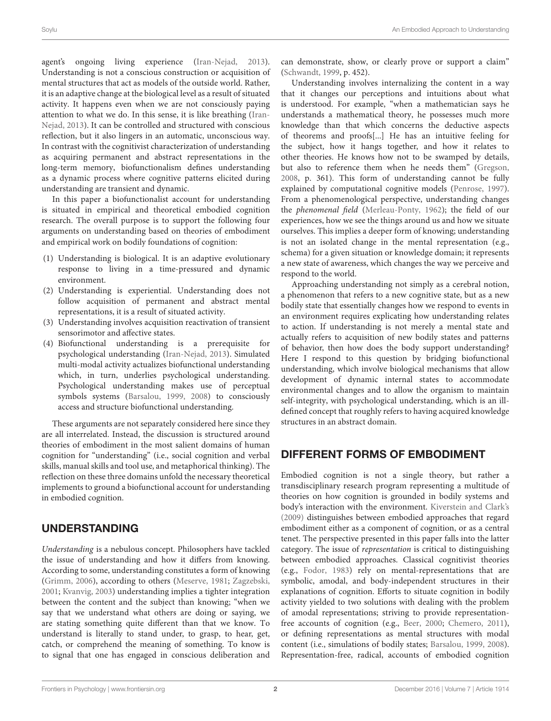agent's ongoing living experience [\(Iran-Nejad,](#page-9-0) [2013\)](#page-9-0). Understanding is not a conscious construction or acquisition of mental structures that act as models of the outside world. Rather, it is an adaptive change at the biological level as a result of situated activity. It happens even when we are not consciously paying attention to what we do. In this sense, it is like breathing [\(Iran-](#page-9-0)[Nejad,](#page-9-0) [2013\)](#page-9-0). It can be controlled and structured with conscious reflection, but it also lingers in an automatic, unconscious way. In contrast with the cognitivist characterization of understanding as acquiring permanent and abstract representations in the long-term memory, biofunctionalism defines understanding as a dynamic process where cognitive patterns elicited during understanding are transient and dynamic.

In this paper a biofunctionalist account for understanding is situated in empirical and theoretical embodied cognition research. The overall purpose is to support the following four arguments on understanding based on theories of embodiment and empirical work on bodily foundations of cognition:

- (1) Understanding is biological. It is an adaptive evolutionary response to living in a time-pressured and dynamic environment.
- (2) Understanding is experiential. Understanding does not follow acquisition of permanent and abstract mental representations, it is a result of situated activity.
- (3) Understanding involves acquisition reactivation of transient sensorimotor and affective states.
- (4) Biofunctional understanding is a prerequisite for psychological understanding [\(Iran-Nejad,](#page-9-0) [2013\)](#page-9-0). Simulated multi-modal activity actualizes biofunctional understanding which, in turn, underlies psychological understanding. Psychological understanding makes use of perceptual symbols systems [\(Barsalou,](#page-8-0) [1999,](#page-8-0) [2008\)](#page-8-1) to consciously access and structure biofunctional understanding.

These arguments are not separately considered here since they are all interrelated. Instead, the discussion is structured around theories of embodiment in the most salient domains of human cognition for "understanding" (i.e., social cognition and verbal skills, manual skills and tool use, and metaphorical thinking). The reflection on these three domains unfold the necessary theoretical implements to ground a biofunctional account for understanding in embodied cognition.

## UNDERSTANDING

Understanding is a nebulous concept. Philosophers have tackled the issue of understanding and how it differs from knowing. According to some, understanding constitutes a form of knowing [\(Grimm,](#page-9-1) [2006\)](#page-9-1), according to others [\(Meserve,](#page-9-2) [1981;](#page-9-2) [Zagzebski,](#page-10-0) [2001;](#page-10-0) [Kvanvig,](#page-9-3) [2003\)](#page-9-3) understanding implies a tighter integration between the content and the subject than knowing; "when we say that we understand what others are doing or saying, we are stating something quite different than that we know. To understand is literally to stand under, to grasp, to hear, get, catch, or comprehend the meaning of something. To know is to signal that one has engaged in conscious deliberation and

can demonstrate, show, or clearly prove or support a claim" [\(Schwandt,](#page-9-4) [1999,](#page-9-4) p. 452).

Understanding involves internalizing the content in a way that it changes our perceptions and intuitions about what is understood. For example, "when a mathematician says he understands a mathematical theory, he possesses much more knowledge than that which concerns the deductive aspects of theorems and proofs[...] He has an intuitive feeling for the subject, how it hangs together, and how it relates to other theories. He knows how not to be swamped by details, but also to reference them when he needs them" [\(Gregson,](#page-9-5) [2008,](#page-9-5) p. 361). This form of understanding cannot be fully explained by computational cognitive models [\(Penrose,](#page-9-6) [1997\)](#page-9-6). From a phenomenological perspective, understanding changes the phenomenal field [\(Merleau-Ponty,](#page-9-7) [1962\)](#page-9-7); the field of our experiences, how we see the things around us and how we situate ourselves. This implies a deeper form of knowing; understanding is not an isolated change in the mental representation (e.g., schema) for a given situation or knowledge domain; it represents a new state of awareness, which changes the way we perceive and respond to the world.

Approaching understanding not simply as a cerebral notion, a phenomenon that refers to a new cognitive state, but as a new bodily state that essentially changes how we respond to events in an environment requires explicating how understanding relates to action. If understanding is not merely a mental state and actually refers to acquisition of new bodily states and patterns of behavior, then how does the body support understanding? Here I respond to this question by bridging biofunctional understanding, which involve biological mechanisms that allow development of dynamic internal states to accommodate environmental changes and to allow the organism to maintain self-integrity, with psychological understanding, which is an illdefined concept that roughly refers to having acquired knowledge structures in an abstract domain.

## DIFFERENT FORMS OF EMBODIMENT

Embodied cognition is not a single theory, but rather a transdisciplinary research program representing a multitude of theories on how cognition is grounded in bodily systems and body's interaction with the environment. [Kiverstein and Clark's](#page-9-8) [\(2009\)](#page-9-8) distinguishes between embodied approaches that regard embodiment either as a component of cognition, or as a central tenet. The perspective presented in this paper falls into the latter category. The issue of representation is critical to distinguishing between embodied approaches. Classical cognitivist theories (e.g., [Fodor,](#page-9-9) [1983\)](#page-9-9) rely on mental-representations that are symbolic, amodal, and body-independent structures in their explanations of cognition. Efforts to situate cognition in bodily activity yielded to two solutions with dealing with the problem of amodal representations; striving to provide representationfree accounts of cognition (e.g., [Beer,](#page-8-2) [2000;](#page-8-2) [Chemero,](#page-9-10) [2011\)](#page-9-10), or defining representations as mental structures with modal content (i.e., simulations of bodily states; [Barsalou,](#page-8-0) [1999,](#page-8-0) [2008\)](#page-8-1). Representation-free, radical, accounts of embodied cognition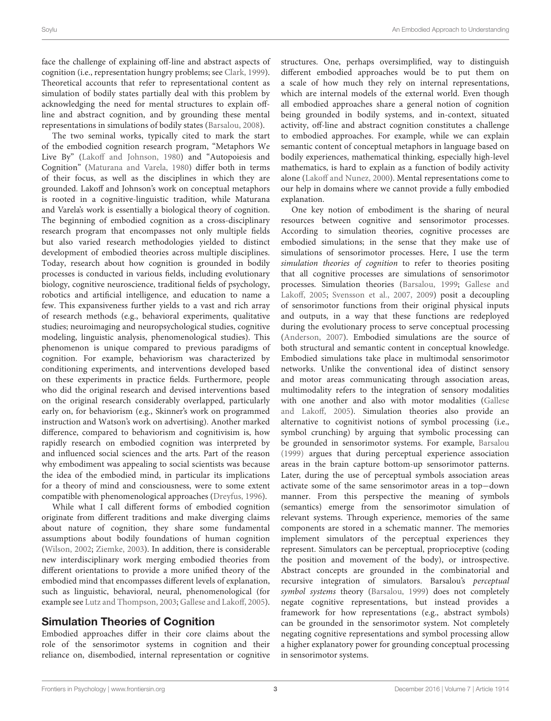face the challenge of explaining off-line and abstract aspects of cognition (i.e., representation hungry problems; see [Clark,](#page-9-11) [1999\)](#page-9-11). Theoretical accounts that refer to representational content as simulation of bodily states partially deal with this problem by acknowledging the need for mental structures to explain offline and abstract cognition, and by grounding these mental representations in simulations of bodily states [\(Barsalou,](#page-8-1) [2008\)](#page-8-1).

The two seminal works, typically cited to mark the start of the embodied cognition research program, "Metaphors We Live By" [\(Lakoff and Johnson,](#page-9-12) [1980\)](#page-9-12) and "Autopoiesis and Cognition" [\(Maturana and Varela,](#page-9-13) [1980\)](#page-9-13) differ both in terms of their focus, as well as the disciplines in which they are grounded. Lakoff and Johnson's work on conceptual metaphors is rooted in a cognitive-linguistic tradition, while Maturana and Varela's work is essentially a biological theory of cognition. The beginning of embodied cognition as a cross-disciplinary research program that encompasses not only multiple fields but also varied research methodologies yielded to distinct development of embodied theories across multiple disciplines. Today, research about how cognition is grounded in bodily processes is conducted in various fields, including evolutionary biology, cognitive neuroscience, traditional fields of psychology, robotics and artificial intelligence, and education to name a few. This expansiveness further yields to a vast and rich array of research methods (e.g., behavioral experiments, qualitative studies; neuroimaging and neuropsychological studies, cognitive modeling, linguistic analysis, phenomenological studies). This phenomenon is unique compared to previous paradigms of cognition. For example, behaviorism was characterized by conditioning experiments, and interventions developed based on these experiments in practice fields. Furthermore, people who did the original research and devised interventions based on the original research considerably overlapped, particularly early on, for behaviorism (e.g., Skinner's work on programmed instruction and Watson's work on advertising). Another marked difference, compared to behaviorism and cognitivisim is, how rapidly research on embodied cognition was interpreted by and influenced social sciences and the arts. Part of the reason why embodiment was appealing to social scientists was because the idea of the embodied mind, in particular its implications for a theory of mind and consciousness, were to some extent compatible with phenomenological approaches [\(Dreyfus,](#page-9-14) [1996\)](#page-9-14).

While what I call different forms of embodied cognition originate from different traditions and make diverging claims about nature of cognition, they share some fundamental assumptions about bodily foundations of human cognition [\(Wilson,](#page-10-1) [2002;](#page-10-1) [Ziemke,](#page-10-2) [2003\)](#page-10-2). In addition, there is considerable new interdisciplinary work merging embodied theories from different orientations to provide a more unified theory of the embodied mind that encompasses different levels of explanation, such as linguistic, behavioral, neural, phenomenological (for example see [Lutz and Thompson,](#page-9-15) [2003;](#page-9-15) [Gallese and Lakoff,](#page-9-16) [2005\)](#page-9-16).

#### Simulation Theories of Cognition

Embodied approaches differ in their core claims about the role of the sensorimotor systems in cognition and their reliance on, disembodied, internal representation or cognitive structures. One, perhaps oversimplified, way to distinguish different embodied approaches would be to put them on a scale of how much they rely on internal representations, which are internal models of the external world. Even though all embodied approaches share a general notion of cognition being grounded in bodily systems, and in-context, situated activity, off-line and abstract cognition constitutes a challenge to embodied approaches. For example, while we can explain semantic content of conceptual metaphors in language based on bodily experiences, mathematical thinking, especially high-level mathematics, is hard to explain as a function of bodily activity alone [\(Lakoff and Nunez,](#page-9-17) [2000\)](#page-9-17). Mental representations come to our help in domains where we cannot provide a fully embodied explanation.

One key notion of embodiment is the sharing of neural resources between cognitive and sensorimotor processes. According to simulation theories, cognitive processes are embodied simulations; in the sense that they make use of simulations of sensorimotor processes. Here, I use the term simulation theories of cognition to refer to theories positing that all cognitive processes are simulations of sensorimotor processes. Simulation theories [\(Barsalou,](#page-8-0) [1999;](#page-8-0) [Gallese and](#page-9-16) [Lakoff,](#page-9-16) [2005;](#page-9-16) [Svensson et al.,](#page-9-18) [2007,](#page-9-18) [2009\)](#page-9-19) posit a decoupling of sensorimotor functions from their original physical inputs and outputs, in a way that these functions are redeployed during the evolutionary process to serve conceptual processing [\(Anderson,](#page-8-3) [2007\)](#page-8-3). Embodied simulations are the source of both structural and semantic content in conceptual knowledge. Embodied simulations take place in multimodal sensorimotor networks. Unlike the conventional idea of distinct sensory and motor areas communicating through association areas, multimodality refers to the integration of sensory modalities with one another and also with motor modalities [\(Gallese](#page-9-16) [and Lakoff,](#page-9-16) [2005\)](#page-9-16). Simulation theories also provide an alternative to cognitivist notions of symbol processing (i.e., symbol crunching) by arguing that symbolic processing can be grounded in sensorimotor systems. For example, [Barsalou](#page-8-0) [\(1999\)](#page-8-0) argues that during perceptual experience association areas in the brain capture bottom-up sensorimotor patterns. Later, during the use of perceptual symbols association areas activate some of the same sensorimotor areas in a top−down manner. From this perspective the meaning of symbols (semantics) emerge from the sensorimotor simulation of relevant systems. Through experience, memories of the same components are stored in a schematic manner. The memories implement simulators of the perceptual experiences they represent. Simulators can be perceptual, proprioceptive (coding the position and movement of the body), or introspective. Abstract concepts are grounded in the combinatorial and recursive integration of simulators. Barsalou's perceptual symbol systems theory [\(Barsalou,](#page-8-0) [1999\)](#page-8-0) does not completely negate cognitive representations, but instead provides a framework for how representations (e.g., abstract symbols) can be grounded in the sensorimotor system. Not completely negating cognitive representations and symbol processing allow a higher explanatory power for grounding conceptual processing in sensorimotor systems.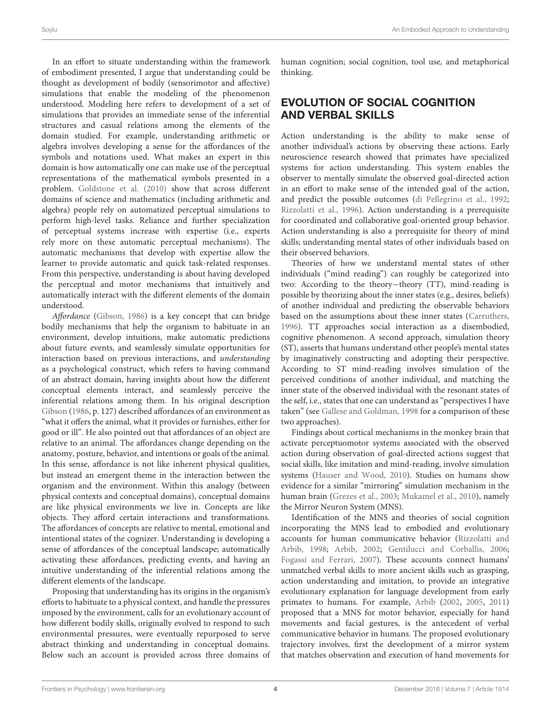In an effort to situate understanding within the framework of embodiment presented, I argue that understanding could be thought as development of bodily (sensorimotor and affective) simulations that enable the modeling of the phenomenon understood. Modeling here refers to development of a set of simulations that provides an immediate sense of the inferential structures and casual relations among the elements of the domain studied. For example, understanding arithmetic or algebra involves developing a sense for the affordances of the symbols and notations used. What makes an expert in this domain is how automatically one can make use of the perceptual representations of the mathematical symbols presented in a problem. [Goldstone et al.](#page-9-20) [\(2010\)](#page-9-20) show that across different domains of science and mathematics (including arithmetic and algebra) people rely on automatized perceptual simulations to perform high-level tasks. Reliance and further specialization of perceptual systems increase with expertise (i.e., experts rely more on these automatic perceptual mechanisms). The automatic mechanisms that develop with expertise allow the learner to provide automatic and quick task-related responses. From this perspective, understanding is about having developed the perceptual and motor mechanisms that intuitively and automatically interact with the different elements of the domain understood.

Affordance [\(Gibson,](#page-9-21) [1986\)](#page-9-21) is a key concept that can bridge bodily mechanisms that help the organism to habituate in an environment, develop intuitions, make automatic predictions about future events, and seamlessly simulate opportunities for interaction based on previous interactions, and understanding as a psychological construct, which refers to having command of an abstract domain, having insights about how the different conceptual elements interact, and seamlessly perceive the inferential relations among them. In his original description [Gibson](#page-9-21) [\(1986,](#page-9-21) p. 127) described affordances of an environment as "what it offers the animal, what it provides or furnishes, either for good or ill". He also pointed out that affordances of an object are relative to an animal. The affordances change depending on the anatomy, posture, behavior, and intentions or goals of the animal. In this sense, affordance is not like inherent physical qualities, but instead an emergent theme in the interaction between the organism and the environment. Within this analogy (between physical contexts and conceptual domains), conceptual domains are like physical environments we live in. Concepts are like objects. They afford certain interactions and transformations. The affordances of concepts are relative to mental, emotional and intentional states of the cognizer. Understanding is developing a sense of affordances of the conceptual landscape; automatically activating these affordances, predicting events, and having an intuitive understanding of the inferential relations among the different elements of the landscape.

Proposing that understanding has its origins in the organism's efforts to habituate to a physical context, and handle the pressures imposed by the environment, calls for an evolutionary account of how different bodily skills, originally evolved to respond to such environmental pressures, were eventually repurposed to serve abstract thinking and understanding in conceptual domains. Below such an account is provided across three domains of human cognition; social cognition, tool use, and metaphorical thinking.

## EVOLUTION OF SOCIAL COGNITION AND VERBAL SKILLS

Action understanding is the ability to make sense of another individual's actions by observing these actions. Early neuroscience research showed that primates have specialized systems for action understanding. This system enables the observer to mentally simulate the observed goal-directed action in an effort to make sense of the intended goal of the action, and predict the possible outcomes [\(di Pellegrino et al.,](#page-9-22) [1992;](#page-9-22) [Rizzolatti et al.,](#page-9-23) [1996\)](#page-9-23). Action understanding is a prerequisite for coordinated and collaborative goal-oriented group behavior. Action understanding is also a prerequisite for theory of mind skills; understanding mental states of other individuals based on their observed behaviors.

Theories of how we understand mental states of other individuals ("mind reading") can roughly be categorized into two: According to the theory−theory (TT), mind-reading is possible by theorizing about the inner states (e.g., desires, beliefs) of another individual and predicting the observable behaviors based on the assumptions about these inner states [\(Carruthers,](#page-9-24) [1996\)](#page-9-24). TT approaches social interaction as a disembodied, cognitive phenomenon. A second approach, simulation theory (ST), asserts that humans understand other people's mental states by imaginatively constructing and adopting their perspective. According to ST mind-reading involves simulation of the perceived conditions of another individual, and matching the inner state of the observed individual with the resonant states of the self, i.e., states that one can understand as "perspectives I have taken" (see [Gallese and Goldman,](#page-9-25) [1998](#page-9-25) for a comparison of these two approaches).

Findings about cortical mechanisms in the monkey brain that activate perceptuomotor systems associated with the observed action during observation of goal-directed actions suggest that social skills, like imitation and mind-reading, involve simulation systems [\(Hauser and Wood,](#page-9-26) [2010\)](#page-9-26). Studies on humans show evidence for a similar "mirroring" simulation mechanism in the human brain [\(Grezes et al.,](#page-9-27) [2003;](#page-9-27) [Mukamel et al.,](#page-9-28) [2010\)](#page-9-28), namely the Mirror Neuron System (MNS).

Identification of the MNS and theories of social cognition incorporating the MNS lead to embodied and evolutionary accounts for human communicative behavior [\(Rizzolatti and](#page-9-29) [Arbib,](#page-9-29) [1998;](#page-9-29) [Arbib,](#page-8-4) [2002;](#page-8-4) [Gentilucci and Corballis,](#page-9-30) [2006;](#page-9-30) [Fogassi and Ferrari,](#page-9-31) [2007\)](#page-9-31). These accounts connect humans' unmatched verbal skills to more ancient skills such as grasping, action understanding and imitation, to provide an integrative evolutionary explanation for language development from early primates to humans. For example, [Arbib](#page-8-4) [\(2002,](#page-8-4) [2005,](#page-8-5) [2011\)](#page-8-6) proposed that a MNS for motor behavior, especially for hand movements and facial gestures, is the antecedent of verbal communicative behavior in humans. The proposed evolutionary trajectory involves, first the development of a mirror system that matches observation and execution of hand movements for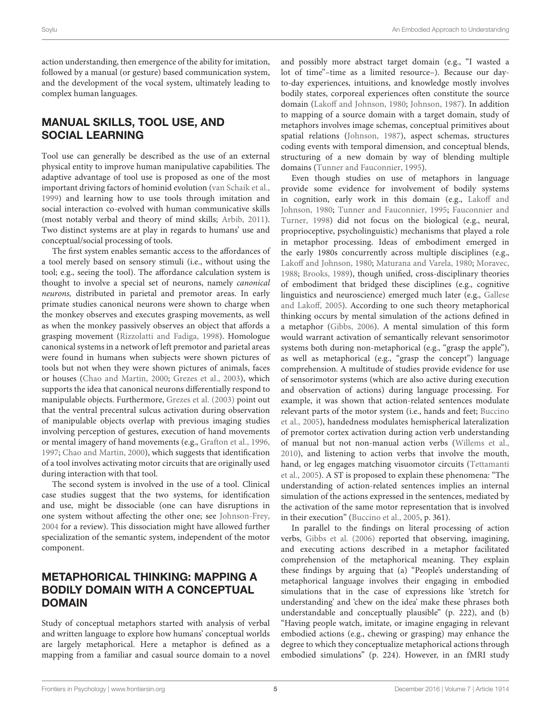action understanding, then emergence of the ability for imitation, followed by a manual (or gesture) based communication system, and the development of the vocal system, ultimately leading to complex human languages.

# MANUAL SKILLS, TOOL USE, AND SOCIAL LEARNING

Tool use can generally be described as the use of an external physical entity to improve human manipulative capabilities. The adaptive advantage of tool use is proposed as one of the most important driving factors of hominid evolution [\(van Schaik et al.,](#page-10-3) [1999\)](#page-10-3) and learning how to use tools through imitation and social interaction co-evolved with human communicative skills (most notably verbal and theory of mind skills; [Arbib,](#page-8-6) [2011\)](#page-8-6). Two distinct systems are at play in regards to humans' use and conceptual/social processing of tools.

The first system enables semantic access to the affordances of a tool merely based on sensory stimuli (i.e., without using the tool; e.g., seeing the tool). The affordance calculation system is thought to involve a special set of neurons, namely canonical neurons, distributed in parietal and premotor areas. In early primate studies canonical neurons were shown to charge when the monkey observes and executes grasping movements, as well as when the monkey passively observes an object that affords a grasping movement [\(Rizzolatti and Fadiga,](#page-9-32) [1998\)](#page-9-32). Homologue canonical systems in a network of left premotor and parietal areas were found in humans when subjects were shown pictures of tools but not when they were shown pictures of animals, faces or houses [\(Chao and Martin,](#page-9-33) [2000;](#page-9-33) [Grezes et al.,](#page-9-27) [2003\)](#page-9-27), which supports the idea that canonical neurons differentially respond to manipulable objects. Furthermore, [Grezes et al.](#page-9-27) [\(2003\)](#page-9-27) point out that the ventral precentral sulcus activation during observation of manipulable objects overlap with previous imaging studies involving perception of gestures, execution of hand movements or mental imagery of hand movements (e.g., [Grafton et al.,](#page-9-34) [1996,](#page-9-34) [1997;](#page-9-35) [Chao and Martin,](#page-9-33) [2000\)](#page-9-33), which suggests that identification of a tool involves activating motor circuits that are originally used during interaction with that tool.

The second system is involved in the use of a tool. Clinical case studies suggest that the two systems, for identification and use, might be dissociable (one can have disruptions in one system without affecting the other one; see [Johnson-Frey,](#page-9-36) [2004](#page-9-36) for a review). This dissociation might have allowed further specialization of the semantic system, independent of the motor component.

## METAPHORICAL THINKING: MAPPING A BODILY DOMAIN WITH A CONCEPTUAL DOMAIN

Study of conceptual metaphors started with analysis of verbal and written language to explore how humans' conceptual worlds are largely metaphorical. Here a metaphor is defined as a mapping from a familiar and casual source domain to a novel

and possibly more abstract target domain (e.g., "I wasted a lot of time"–time as a limited resource–). Because our dayto-day experiences, intuitions, and knowledge mostly involves bodily states, corporeal experiences often constitute the source domain [\(Lakoff and Johnson,](#page-9-12) [1980;](#page-9-12) [Johnson,](#page-9-37) [1987\)](#page-9-37). In addition to mapping of a source domain with a target domain, study of metaphors involves image schemas, conceptual primitives about spatial relations [\(Johnson,](#page-9-37) [1987\)](#page-9-37), aspect schemas, structures coding events with temporal dimension, and conceptual blends, structuring of a new domain by way of blending multiple domains [\(Tunner and Fauconnier,](#page-10-4) [1995\)](#page-10-4).

Even though studies on use of metaphors in language provide some evidence for involvement of bodily systems in cognition, early work in this domain (e.g., [Lakoff and](#page-9-12) [Johnson,](#page-9-12) [1980;](#page-9-12) [Tunner and Fauconnier,](#page-10-4) [1995;](#page-10-4) [Fauconnier and](#page-9-38) [Turner,](#page-9-38) [1998\)](#page-9-38) did not focus on the biological (e.g., neural, proprioceptive, psycholinguistic) mechanisms that played a role in metaphor processing. Ideas of embodiment emerged in the early 1980s concurrently across multiple disciplines (e.g., [Lakoff and Johnson,](#page-9-12) [1980;](#page-9-12) [Maturana and Varela,](#page-9-13) [1980;](#page-9-13) [Moravec,](#page-9-39) [1988;](#page-9-39) [Brooks,](#page-8-7) [1989\)](#page-8-7), though unified, cross-disciplinary theories of embodiment that bridged these disciplines (e.g., cognitive linguistics and neuroscience) emerged much later (e.g., [Gallese](#page-9-16) [and Lakoff,](#page-9-16) [2005\)](#page-9-16). According to one such theory metaphorical thinking occurs by mental simulation of the actions defined in a metaphor [\(Gibbs,](#page-9-40) [2006\)](#page-9-40). A mental simulation of this form would warrant activation of semantically relevant sensorimotor systems both during non-metaphorical (e.g., "grasp the apple"), as well as metaphorical (e.g., "grasp the concept") language comprehension. A multitude of studies provide evidence for use of sensorimotor systems (which are also active during execution and observation of actions) during language processing. For example, it was shown that action-related sentences modulate relevant parts of the motor system (i.e., hands and feet; [Buccino](#page-8-8) [et al.,](#page-8-8) [2005\)](#page-8-8), handedness modulates hemispherical lateralization of premotor cortex activation during action verb understanding of manual but not non-manual action verbs [\(Willems et al.,](#page-10-5) [2010\)](#page-10-5), and listening to action verbs that involve the mouth, hand, or leg engages matching visuomotor circuits [\(Tettamanti](#page-10-6) [et al.,](#page-10-6) [2005\)](#page-10-6). A ST is proposed to explain these phenomena: "The understanding of action-related sentences implies an internal simulation of the actions expressed in the sentences, mediated by the activation of the same motor representation that is involved in their execution" [\(Buccino et al.,](#page-8-8) [2005,](#page-8-8) p. 361).

In parallel to the findings on literal processing of action verbs, [Gibbs et al.](#page-9-41) [\(2006\)](#page-9-41) reported that observing, imagining, and executing actions described in a metaphor facilitated comprehension of the metaphorical meaning. They explain these findings by arguing that (a) "People's understanding of metaphorical language involves their engaging in embodied simulations that in the case of expressions like 'stretch for understanding' and 'chew on the idea' make these phrases both understandable and conceptually plausible" (p. 222), and (b) "Having people watch, imitate, or imagine engaging in relevant embodied actions (e.g., chewing or grasping) may enhance the degree to which they conceptualize metaphorical actions through embodied simulations" (p. 224). However, in an fMRI study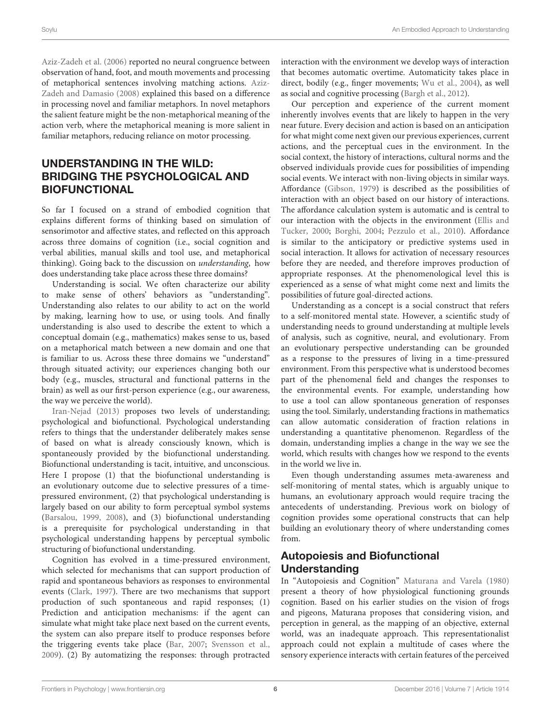[Aziz-Zadeh et al.](#page-8-9) [\(2006\)](#page-8-9) reported no neural congruence between observation of hand, foot, and mouth movements and processing of metaphorical sentences involving matching actions. [Aziz-](#page-8-10)[Zadeh and Damasio](#page-8-10) [\(2008\)](#page-8-10) explained this based on a difference in processing novel and familiar metaphors. In novel metaphors the salient feature might be the non-metaphorical meaning of the action verb, where the metaphorical meaning is more salient in familiar metaphors, reducing reliance on motor processing.

# UNDERSTANDING IN THE WILD: BRIDGING THE PSYCHOLOGICAL AND BIOFUNCTIONAL

So far I focused on a strand of embodied cognition that explains different forms of thinking based on simulation of sensorimotor and affective states, and reflected on this approach across three domains of cognition (i.e., social cognition and verbal abilities, manual skills and tool use, and metaphorical thinking). Going back to the discussion on understanding, how does understanding take place across these three domains?

Understanding is social. We often characterize our ability to make sense of others' behaviors as "understanding". Understanding also relates to our ability to act on the world by making, learning how to use, or using tools. And finally understanding is also used to describe the extent to which a conceptual domain (e.g., mathematics) makes sense to us, based on a metaphorical match between a new domain and one that is familiar to us. Across these three domains we "understand" through situated activity; our experiences changing both our body (e.g., muscles, structural and functional patterns in the brain) as well as our first-person experience (e.g., our awareness, the way we perceive the world).

[Iran-Nejad](#page-9-0) [\(2013\)](#page-9-0) proposes two levels of understanding; psychological and biofunctional. Psychological understanding refers to things that the understander deliberately makes sense of based on what is already consciously known, which is spontaneously provided by the biofunctional understanding. Biofunctional understanding is tacit, intuitive, and unconscious. Here I propose (1) that the biofunctional understanding is an evolutionary outcome due to selective pressures of a timepressured environment, (2) that psychological understanding is largely based on our ability to form perceptual symbol systems [\(Barsalou,](#page-8-0) [1999,](#page-8-0) [2008\)](#page-8-1), and (3) biofunctional understanding is a prerequisite for psychological understanding in that psychological understanding happens by perceptual symbolic structuring of biofunctional understanding.

Cognition has evolved in a time-pressured environment, which selected for mechanisms that can support production of rapid and spontaneous behaviors as responses to environmental events [\(Clark,](#page-9-42) [1997\)](#page-9-42). There are two mechanisms that support production of such spontaneous and rapid responses; (1) Prediction and anticipation mechanisms: if the agent can simulate what might take place next based on the current events, the system can also prepare itself to produce responses before the triggering events take place [\(Bar,](#page-8-11) [2007;](#page-8-11) [Svensson et al.,](#page-9-19) [2009\)](#page-9-19). (2) By automatizing the responses: through protracted

interaction with the environment we develop ways of interaction that becomes automatic overtime. Automaticity takes place in direct, bodily (e.g., finger movements; [Wu et al.,](#page-10-7) [2004\)](#page-10-7), as well as social and cognitive processing [\(Bargh et al.,](#page-8-12) [2012\)](#page-8-12).

Our perception and experience of the current moment inherently involves events that are likely to happen in the very near future. Every decision and action is based on an anticipation for what might come next given our previous experiences, current actions, and the perceptual cues in the environment. In the social context, the history of interactions, cultural norms and the observed individuals provide cues for possibilities of impending social events. We interact with non-living objects in similar ways. Affordance [\(Gibson,](#page-9-43) [1979\)](#page-9-43) is described as the possibilities of interaction with an object based on our history of interactions. The affordance calculation system is automatic and is central to our interaction with the objects in the environment [\(Ellis and](#page-9-44) [Tucker,](#page-9-44) [2000;](#page-9-44) [Borghi,](#page-8-13) [2004;](#page-8-13) [Pezzulo et al.,](#page-9-45) [2010\)](#page-9-45). Affordance is similar to the anticipatory or predictive systems used in social interaction. It allows for activation of necessary resources before they are needed, and therefore improves production of appropriate responses. At the phenomenological level this is experienced as a sense of what might come next and limits the possibilities of future goal-directed actions.

Understanding as a concept is a social construct that refers to a self-monitored mental state. However, a scientific study of understanding needs to ground understanding at multiple levels of analysis, such as cognitive, neural, and evolutionary. From an evolutionary perspective understanding can be grounded as a response to the pressures of living in a time-pressured environment. From this perspective what is understood becomes part of the phenomenal field and changes the responses to the environmental events. For example, understanding how to use a tool can allow spontaneous generation of responses using the tool. Similarly, understanding fractions in mathematics can allow automatic consideration of fraction relations in understanding a quantitative phenomenon. Regardless of the domain, understanding implies a change in the way we see the world, which results with changes how we respond to the events in the world we live in.

Even though understanding assumes meta-awareness and self-monitoring of mental states, which is arguably unique to humans, an evolutionary approach would require tracing the antecedents of understanding. Previous work on biology of cognition provides some operational constructs that can help building an evolutionary theory of where understanding comes from.

## Autopoiesis and Biofunctional Understanding

In "Autopoiesis and Cognition" [Maturana and Varela](#page-9-13) [\(1980\)](#page-9-13) present a theory of how physiological functioning grounds cognition. Based on his earlier studies on the vision of frogs and pigeons, Maturana proposes that considering vision, and perception in general, as the mapping of an objective, external world, was an inadequate approach. This representationalist approach could not explain a multitude of cases where the sensory experience interacts with certain features of the perceived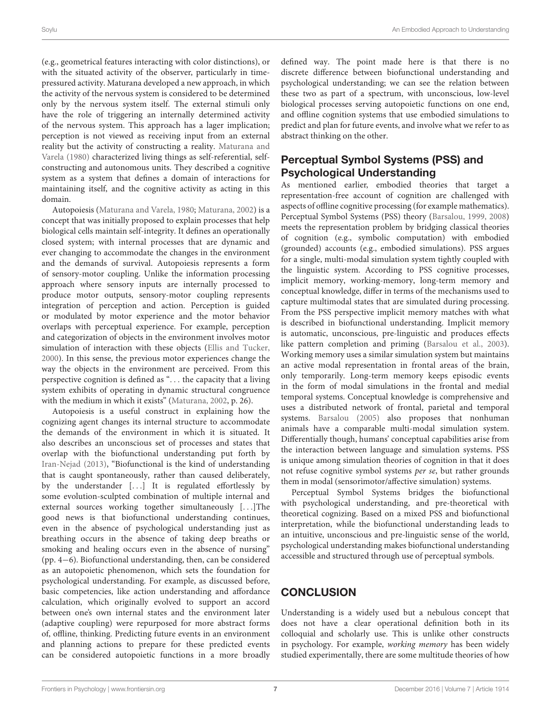(e.g., geometrical features interacting with color distinctions), or with the situated activity of the observer, particularly in timepressured activity. Maturana developed a new approach, in which the activity of the nervous system is considered to be determined only by the nervous system itself. The external stimuli only have the role of triggering an internally determined activity of the nervous system. This approach has a lager implication; perception is not viewed as receiving input from an external reality but the activity of constructing a reality. [Maturana and](#page-9-13) [Varela](#page-9-13) [\(1980\)](#page-9-13) characterized living things as self-referential, selfconstructing and autonomous units. They described a cognitive system as a system that defines a domain of interactions for maintaining itself, and the cognitive activity as acting in this domain.

Autopoiesis [\(Maturana and Varela,](#page-9-13) [1980;](#page-9-13) [Maturana,](#page-9-46) [2002\)](#page-9-46) is a concept that was initially proposed to explain processes that help biological cells maintain self-integrity. It defines an operationally closed system; with internal processes that are dynamic and ever changing to accommodate the changes in the environment and the demands of survival. Autopoiesis represents a form of sensory-motor coupling. Unlike the information processing approach where sensory inputs are internally processed to produce motor outputs, sensory-motor coupling represents integration of perception and action. Perception is guided or modulated by motor experience and the motor behavior overlaps with perceptual experience. For example, perception and categorization of objects in the environment involves motor simulation of interaction with these objects [\(Ellis and Tucker,](#page-9-44) [2000\)](#page-9-44). In this sense, the previous motor experiences change the way the objects in the environment are perceived. From this perspective cognition is defined as ". . . the capacity that a living system exhibits of operating in dynamic structural congruence with the medium in which it exists" [\(Maturana,](#page-9-46) [2002,](#page-9-46) p. 26).

Autopoiesis is a useful construct in explaining how the cognizing agent changes its internal structure to accommodate the demands of the environment in which it is situated. It also describes an unconscious set of processes and states that overlap with the biofunctional understanding put forth by [Iran-Nejad](#page-9-0) [\(2013\)](#page-9-0), "Biofunctional is the kind of understanding that is caught spontaneously, rather than caused deliberately, by the understander [. . .] It is regulated effortlessly by some evolution-sculpted combination of multiple internal and external sources working together simultaneously [. . .]The good news is that biofunctional understanding continues, even in the absence of psychological understanding just as breathing occurs in the absence of taking deep breaths or smoking and healing occurs even in the absence of nursing" (pp. 4−6). Biofunctional understanding, then, can be considered as an autopoietic phenomenon, which sets the foundation for psychological understanding. For example, as discussed before, basic competencies, like action understanding and affordance calculation, which originally evolved to support an accord between one's own internal states and the environment later (adaptive coupling) were repurposed for more abstract forms of, offline, thinking. Predicting future events in an environment and planning actions to prepare for these predicted events can be considered autopoietic functions in a more broadly defined way. The point made here is that there is no discrete difference between biofunctional understanding and psychological understanding; we can see the relation between these two as part of a spectrum, with unconscious, low-level biological processes serving autopoietic functions on one end, and offline cognition systems that use embodied simulations to predict and plan for future events, and involve what we refer to as abstract thinking on the other.

## Perceptual Symbol Systems (PSS) and Psychological Understanding

As mentioned earlier, embodied theories that target a representation-free account of cognition are challenged with aspects of offline cognitive processing (for example mathematics). Perceptual Symbol Systems (PSS) theory [\(Barsalou,](#page-8-0) [1999,](#page-8-0) [2008\)](#page-8-1) meets the representation problem by bridging classical theories of cognition (e.g., symbolic computation) with embodied (grounded) accounts (e.g., embodied simulations). PSS argues for a single, multi-modal simulation system tightly coupled with the linguistic system. According to PSS cognitive processes, implicit memory, working-memory, long-term memory and conceptual knowledge, differ in terms of the mechanisms used to capture multimodal states that are simulated during processing. From the PSS perspective implicit memory matches with what is described in biofunctional understanding. Implicit memory is automatic, unconscious, pre-linguistic and produces effects like pattern completion and priming [\(Barsalou et al.,](#page-8-14) [2003\)](#page-8-14). Working memory uses a similar simulation system but maintains an active modal representation in frontal areas of the brain, only temporarily. Long-term memory keeps episodic events in the form of modal simulations in the frontal and medial temporal systems. Conceptual knowledge is comprehensive and uses a distributed network of frontal, parietal and temporal systems. [Barsalou](#page-8-15) [\(2005\)](#page-8-15) also proposes that nonhuman animals have a comparable multi-modal simulation system. Differentially though, humans' conceptual capabilities arise from the interaction between language and simulation systems. PSS is unique among simulation theories of cognition in that it does not refuse cognitive symbol systems per se, but rather grounds them in modal (sensorimotor/affective simulation) systems.

Perceptual Symbol Systems bridges the biofunctional with psychological understanding, and pre-theoretical with theoretical cognizing. Based on a mixed PSS and biofunctional interpretation, while the biofunctional understanding leads to an intuitive, unconscious and pre-linguistic sense of the world, psychological understanding makes biofunctional understanding accessible and structured through use of perceptual symbols.

#### **CONCLUSION**

Understanding is a widely used but a nebulous concept that does not have a clear operational definition both in its colloquial and scholarly use. This is unlike other constructs in psychology. For example, working memory has been widely studied experimentally, there are some multitude theories of how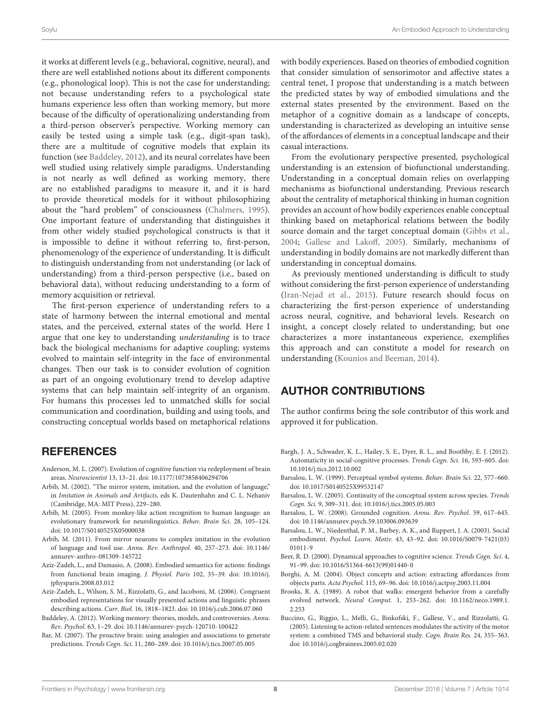it works at different levels (e.g., behavioral, cognitive, neural), and there are well established notions about its different components (e.g., phonological loop). This is not the case for understanding; not because understanding refers to a psychological state humans experience less often than working memory, but more because of the difficulty of operationalizing understanding from a third-person observer's perspective. Working memory can easily be tested using a simple task (e.g., digit-span task), there are a multitude of cognitive models that explain its function (see [Baddeley,](#page-8-16) [2012\)](#page-8-16), and its neural correlates have been well studied using relatively simple paradigms. Understanding is not nearly as well defined as working memory, there are no established paradigms to measure it, and it is hard to provide theoretical models for it without philosophizing about the "hard problem" of consciousness [\(Chalmers,](#page-9-47) [1995\)](#page-9-47). One important feature of understanding that distinguishes it from other widely studied psychological constructs is that it is impossible to define it without referring to, first-person, phenomenology of the experience of understanding. It is difficult to distinguish understanding from not understanding (or lack of understanding) from a third-person perspective (i.e., based on behavioral data), without reducing understanding to a form of memory acquisition or retrieval.

The first-person experience of understanding refers to a state of harmony between the internal emotional and mental states, and the perceived, external states of the world. Here I argue that one key to understanding understanding is to trace back the biological mechanisms for adaptive coupling; systems evolved to maintain self-integrity in the face of environmental changes. Then our task is to consider evolution of cognition as part of an ongoing evolutionary trend to develop adaptive systems that can help maintain self-integrity of an organism. For humans this processes led to unmatched skills for social communication and coordination, building and using tools, and constructing conceptual worlds based on metaphorical relations

#### **REFERENCES**

- <span id="page-8-3"></span>Anderson, M. L. (2007). Evolution of cognitive function via redeployment of brain areas. Neuroscientist 13, 13–21. [doi: 10.1177/1073858406294706](https://doi.org/10.1177/1073858406294706)
- <span id="page-8-4"></span>Arbib, M. (2002). "The mirror system, imitation, and the evolution of language," in Imitation in Animals and Artifacts, eds K. Dautenhahn and C. L. Nehaniv (Cambridge, MA: MIT Press), 229–280.
- <span id="page-8-5"></span>Arbib, M. (2005). From monkey-like action recognition to human language: an evolutionary framework for neurolinguistics. Behav. Brain Sci. 28, 105–124. [doi: 10.1017/S0140525X05000038](https://doi.org/10.1017/S0140525X05000038)
- <span id="page-8-6"></span>Arbib, M. (2011). From mirror neurons to complex imitation in the evolution of language and tool use. Annu. Rev. Anthropol. 40, 257–273. [doi: 10.1146/](https://doi.org/10.1146/annurev-anthro-081309-145722) [annurev-anthro-081309-145722](https://doi.org/10.1146/annurev-anthro-081309-145722)
- <span id="page-8-10"></span>Aziz-Zadeh, L., and Damasio, A. (2008). Embodied semantics for actions: findings from functional brain imaging. J. Physiol. Paris 102, 35–39. [doi: 10.1016/j.](https://doi.org/10.1016/j.jphysparis.2008.03.012) [jphysparis.2008.03.012](https://doi.org/10.1016/j.jphysparis.2008.03.012)
- <span id="page-8-9"></span>Aziz-Zadeh, L., Wilson, S. M., Rizzolatti, G., and Iacoboni, M. (2006). Congruent embodied representations for visually presented actions and linguistic phrases describing actions. Curr. Biol. 16, 1818–1823. [doi: 10.1016/j.cub.2006.07.060](https://doi.org/10.1016/j.cub.2006.07.060)
- <span id="page-8-16"></span>Baddeley, A. (2012). Working memory: theories, models, and controversies. Annu. Rev. Psychol. 63, 1–29. [doi: 10.1146/annurev-psych-120710-100422](https://doi.org/10.1146/annurev-psych-120710-100422)
- <span id="page-8-11"></span>Bar, M. (2007). The proactive brain: using analogies and associations to generate predictions. Trends Cogn. Sci. 11, 280–289. [doi: 10.1016/j.tics.2007.05.005](https://doi.org/10.1016/j.tics.2007.05.005)

with bodily experiences. Based on theories of embodied cognition that consider simulation of sensorimotor and affective states a central tenet, I propose that understanding is a match between the predicted states by way of embodied simulations and the external states presented by the environment. Based on the metaphor of a cognitive domain as a landscape of concepts, understanding is characterized as developing an intuitive sense of the affordances of elements in a conceptual landscape and their casual interactions.

From the evolutionary perspective presented, psychological understanding is an extension of biofunctional understanding. Understanding in a conceptual domain relies on overlapping mechanisms as biofunctional understanding. Previous research about the centrality of metaphorical thinking in human cognition provides an account of how bodily experiences enable conceptual thinking based on metaphorical relations between the bodily source domain and the target conceptual domain [\(Gibbs et al.,](#page-9-48) [2004;](#page-9-48) [Gallese and Lakoff,](#page-9-16) [2005\)](#page-9-16). Similarly, mechanisms of understanding in bodily domains are not markedly different than understanding in conceptual domains.

As previously mentioned understanding is difficult to study without considering the first-person experience of understanding [\(Iran-Nejad et al.,](#page-9-49) [2015\)](#page-9-49). Future research should focus on characterizing the first-person experience of understanding across neural, cognitive, and behavioral levels. Research on insight, a concept closely related to understanding; but one characterizes a more instantaneous experience, exemplifies this approach and can constitute a model for research on understanding [\(Kounios and Beeman,](#page-9-50) [2014\)](#page-9-50).

#### AUTHOR CONTRIBUTIONS

The author confirms being the sole contributor of this work and approved it for publication.

- <span id="page-8-12"></span>Bargh, J. A., Schwader, K. L., Hailey, S. E., Dyer, R. L., and Boothby, E. J. (2012). Automaticity in social-cognitive processes. Trends Cogn. Sci. 16, 593–605. [doi:](https://doi.org/10.1016/j.tics.2012.10.002) [10.1016/j.tics.2012.10.002](https://doi.org/10.1016/j.tics.2012.10.002)
- <span id="page-8-0"></span>Barsalou, L. W. (1999). Perceptual symbol systems. Behav. Brain Sci. 22, 577–660. [doi: 10.1017/S0140525X99532147](https://doi.org/10.1017/S0140525X99532147)
- <span id="page-8-15"></span>Barsalou, L. W. (2005). Continuity of the conceptual system across species. Trends Cogn. Sci. 9, 309–311. [doi: 10.1016/j.tics.2005.05.003](https://doi.org/10.1016/j.tics.2005.05.003)
- <span id="page-8-1"></span>Barsalou, L. W. (2008). Grounded cognition. Annu. Rev. Psychol. 59, 617–645. [doi: 10.1146/annurev.psych.59.103006.093639](https://doi.org/10.1146/annurev.psych.59.103006.093639)
- <span id="page-8-14"></span>Barsalou, L. W., Niedenthal, P. M., Barbey, A. K., and Ruppert, J. A. (2003). Social embodiment. Psychol. Learn. Motiv. 43, 43–92. [doi: 10.1016/S0079-7421\(03\)](https://doi.org/10.1016/S0079-7421(03)01011-9) [01011-9](https://doi.org/10.1016/S0079-7421(03)01011-9)
- <span id="page-8-2"></span>Beer, R. D. (2000). Dynamical approaches to cognitive science. Trends Cogn. Sci. 4, 91–99. [doi: 10.1016/S1364-6613\(99\)01440-0](https://doi.org/10.1016/S1364-6613(99)01440-0)
- <span id="page-8-13"></span>Borghi, A. M. (2004). Object concepts and action: extracting affordances from objects parts. Acta Psychol. 115, 69–96. [doi: 10.1016/j.actpsy.2003.11.004](https://doi.org/10.1016/j.actpsy.2003.11.004)
- <span id="page-8-7"></span>Brooks, R. A. (1989). A robot that walks: emergent behavior from a carefully evolved network. Neural Comput. 1, 253–262. [doi: 10.1162/neco.1989.1.](https://doi.org/10.1162/neco.1989.1.2.253) [2.253](https://doi.org/10.1162/neco.1989.1.2.253)
- <span id="page-8-8"></span>Buccino, G., Riggio, L., Melli, G., Binkofski, F., Gallese, V., and Rizzolatti, G. (2005). Listening to action-related sentences modulates the activity of the motor system: a combined TMS and behavioral study. Cogn. Brain Res. 24, 355–363. [doi: 10.1016/j.cogbrainres.2005.02.020](https://doi.org/10.1016/j.cogbrainres.2005.02.020)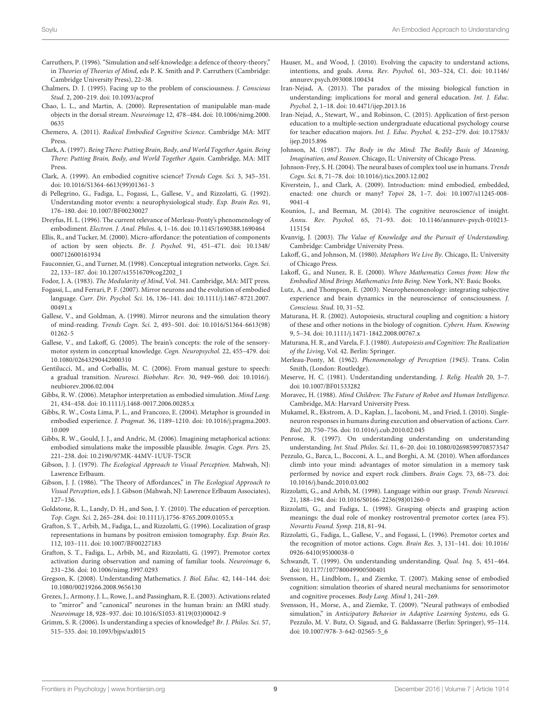- <span id="page-9-24"></span>Carruthers, P. (1996). "Simulation and self-knowledge: a defence of theory-theory," in Theories of Theories of Mind, eds P. K. Smith and P. Carruthers (Cambridge: Cambridge University Press), 22–38.
- <span id="page-9-47"></span>Chalmers, D. J. (1995). Facing up to the problem of consciousness. J. Conscious Stud. 2, 200–219. [doi: 10.1093/acprof](https://doi.org/10.1093/acprof)
- <span id="page-9-33"></span>Chao, L. L., and Martin, A. (2000). Representation of manipulable man-made objects in the dorsal stream. Neuroimage 12, 478–484. [doi: 10.1006/nimg.2000.](https://doi.org/10.1006/nimg.2000.0635) [0635](https://doi.org/10.1006/nimg.2000.0635)
- <span id="page-9-10"></span>Chemero, A. (2011). Radical Embodied Cognitive Science. Cambridge MA: MIT Press.
- <span id="page-9-42"></span>Clark, A. (1997). Being There: Putting Brain, Body, and World Together Again. Being There: Putting Brain, Body, and World Together Again. Cambridge, MA: MIT Press.
- <span id="page-9-11"></span>Clark, A. (1999). An embodied cognitive science? Trends Cogn. Sci. 3, 345–351. [doi: 10.1016/S1364-6613\(99\)01361-3](https://doi.org/10.1016/S1364-6613(99)01361-3)
- <span id="page-9-22"></span>di Pellegrino, G., Fadiga, L., Fogassi, L., Gallese, V., and Rizzolatti, G. (1992). Understanding motor events: a neurophysiological study. Exp. Brain Res. 91, 176–180. [doi: 10.1007/BF00230027](https://doi.org/10.1007/BF00230027)
- <span id="page-9-14"></span>Dreyfus, H. L. (1996). The current relevance of Merleau-Ponty's phenomenology of embodiment. Electron. J. Anal. Philos. 4, 1–16. [doi: 10.1145/1690388.1690464](https://doi.org/10.1145/1690388.1690464)
- <span id="page-9-44"></span>Ellis, R., and Tucker, M. (2000). Micro-affordance: the potentiation of components of action by seen objects. Br. J. Psychol. 91, 451–471. [doi: 10.1348/](https://doi.org/10.1348/000712600161934) [000712600161934](https://doi.org/10.1348/000712600161934)
- <span id="page-9-38"></span>Fauconnier, G., and Turner, M. (1998). Conceptual integration networks. Cogn. Sci. 22, 133–187. [doi: 10.1207/s15516709cog2202\\_1](https://doi.org/10.1207/s15516709cog2202_1)
- <span id="page-9-9"></span>Fodor, J. A. (1983). The Modularity of Mind, Vol. 341. Cambridge, MA: MIT press.
- <span id="page-9-31"></span>Fogassi, L., and Ferrari, P. F. (2007). Mirror neurons and the evolution of embodied language. Curr. Dir. Psychol. Sci. 16, 136–141. [doi: 10.1111/j.1467-8721.2007.](https://doi.org/10.1111/j.1467-8721.2007.00491.x) [00491.x](https://doi.org/10.1111/j.1467-8721.2007.00491.x)
- <span id="page-9-25"></span>Gallese, V., and Goldman, A. (1998). Mirror neurons and the simulation theory of mind-reading. Trends Cogn. Sci. 2, 493–501. [doi: 10.1016/S1364-6613\(98\)](https://doi.org/10.1016/S1364-6613(98)01262-5) [01262-5](https://doi.org/10.1016/S1364-6613(98)01262-5)
- <span id="page-9-16"></span>Gallese, V., and Lakoff, G. (2005). The brain's concepts: the role of the sensorymotor system in conceptual knowledge. Cogn. Neuropsychol. 22, 455–479. [doi:](https://doi.org/10.1080/02643290442000310) [10.1080/02643290442000310](https://doi.org/10.1080/02643290442000310)
- <span id="page-9-30"></span>Gentilucci, M., and Corballis, M. C. (2006). From manual gesture to speech: a gradual transition. Neurosci. Biobehav. Rev. 30, 949–960. [doi: 10.1016/j.](https://doi.org/10.1016/j.neubiorev.2006.02.004) [neubiorev.2006.02.004](https://doi.org/10.1016/j.neubiorev.2006.02.004)
- <span id="page-9-40"></span>Gibbs, R. W. (2006). Metaphor interpretation as embodied simulation. Mind Lang. 21, 434–458. [doi: 10.1111/j.1468-0017.2006.00285.x](https://doi.org/10.1111/j.1468-0017.2006.00285.x)
- <span id="page-9-48"></span>Gibbs, R. W., Costa Lima, P. L., and Francozo, E. (2004). Metaphor is grounded in embodied experience. J. Pragmat. 36, 1189–1210. [doi: 10.1016/j.pragma.2003.](https://doi.org/10.1016/j.pragma.2003.10.009) [10.009](https://doi.org/10.1016/j.pragma.2003.10.009)
- <span id="page-9-41"></span>Gibbs, R. W., Gould, J. J., and Andric, M. (2006). Imagining metaphorical actions: embodied simulations make the impossible plausible. Imagin. Cogn. Pers. 25, 221–238. [doi: 10.2190/97MK-44MV-1UUF-T5CR](https://doi.org/10.2190/97MK-44MV-1UUF-T5CR)
- <span id="page-9-43"></span>Gibson, J. J. (1979). The Ecological Approach to Visual Perception. Mahwah, NJ: Lawrence Erlbaum.
- <span id="page-9-21"></span>Gibson, J. J. (1986). "The Theory of Affordances," in The Ecological Approach to Visual Perception, eds J. J. Gibson (Mahwah, NJ: Lawrence Erlbaum Associates), 127–136.
- <span id="page-9-20"></span>Goldstone, R. L., Landy, D. H., and Son, J. Y. (2010). The education of perception. Top. Cogn. Sci. 2, 265–284. [doi: 10.1111/j.1756-8765.2009.01055.x](https://doi.org/10.1111/j.1756-8765.2009.01055.x)
- <span id="page-9-34"></span>Grafton, S. T., Arbib, M., Fadiga, L., and Rizzolatti, G. (1996). Localization of grasp representations in humans by positron emission tomography. Exp. Brain Res. 112, 103–111. [doi: 10.1007/BF00227183](https://doi.org/10.1007/BF00227183)
- <span id="page-9-35"></span>Grafton, S. T., Fadiga, L., Arbib, M., and Rizzolatti, G. (1997). Premotor cortex activation during observation and naming of familiar tools. Neuroimage 6, 231–236. [doi: 10.1006/nimg.1997.0293](https://doi.org/10.1006/nimg.1997.0293)
- <span id="page-9-5"></span>Gregson, K. (2008). Understanding Mathematics. J. Biol. Educ. 42, 144–144. [doi:](https://doi.org/10.1080/00219266.2008.9656130) [10.1080/00219266.2008.9656130](https://doi.org/10.1080/00219266.2008.9656130)
- <span id="page-9-27"></span>Grezes, J., Armony, J. L., Rowe, J., and Passingham, R. E. (2003). Activations related to "mirror" and "canonical" neurones in the human brain: an fMRI study. Neuroimage 18, 928–937. [doi: 10.1016/S1053-8119\(03\)00042-9](https://doi.org/10.1016/S1053-8119(03)00042-9)
- <span id="page-9-1"></span>Grimm, S. R. (2006). Is understanding a species of knowledge? Br. J. Philos. Sci. 57, 515–535. [doi: 10.1093/bjps/axl015](https://doi.org/10.1093/bjps/axl015)
- <span id="page-9-26"></span>Hauser, M., and Wood, J. (2010). Evolving the capacity to understand actions, intentions, and goals. Annu. Rev. Psychol. 61, 303–324, C1. [doi: 10.1146/](https://doi.org/10.1146/annurev.psych.093008.100434) [annurev.psych.093008.100434](https://doi.org/10.1146/annurev.psych.093008.100434)
- <span id="page-9-0"></span>Iran-Nejad, A. (2013). The paradox of the missing biological function in understanding: implications for moral and general education. Int. J. Educ. Psychol. 2, 1–18. [doi: 10.4471/ijep.2013.16](https://doi.org/10.4471/ijep.2013.16)
- <span id="page-9-49"></span>Iran-Nejad, A., Stewart, W., and Robinson, C. (2015). Application of first-person education to a multiple-section undergraduate educational psychology course for teacher education majors. Int. J. Educ. Psychol. 4, 252–279. [doi: 10.17583/](https://doi.org/10.17583/ijep.2015.896) [ijep.2015.896](https://doi.org/10.17583/ijep.2015.896)
- <span id="page-9-37"></span>Johnson, M. (1987). The Body in the Mind: The Bodily Basis of Meaning, Imagination, and Reason. Chicago, IL: University of Chicago Press.
- <span id="page-9-36"></span>Johnson-Frey, S. H. (2004). The neural bases of complex tool use in humans. Trends Cogn. Sci. 8, 71–78. [doi: 10.1016/j.tics.2003.12.002](https://doi.org/10.1016/j.tics.2003.12.002)
- <span id="page-9-8"></span>Kiverstein, J., and Clark, A. (2009). Introduction: mind embodied, embedded, enacted: one church or many? Topoi 28, 1–7. [doi: 10.1007/s11245-008-](https://doi.org/10.1007/s11245-008-9041-4) [9041-4](https://doi.org/10.1007/s11245-008-9041-4)
- <span id="page-9-50"></span>Kounios, J., and Beeman, M. (2014). The cognitive neuroscience of insight. Annu. Rev. Psychol. 65, 71–93. [doi: 10.1146/annurev-psych-010213-](https://doi.org/10.1146/annurev-psych-010213-115154) [115154](https://doi.org/10.1146/annurev-psych-010213-115154)
- <span id="page-9-3"></span>Kvanvig, J. (2003). The Value of Knowledge and the Pursuit of Understanding. Cambridge: Cambridge University Press.
- <span id="page-9-12"></span>Lakoff, G., and Johnson, M. (1980). Metaphors We Live By. Chicago, IL: University of Chicago Press.
- <span id="page-9-17"></span>Lakoff, G., and Nunez, R. E. (2000). Where Mathematics Comes from: How the Embodied Mind Brings Mathematics Into Being. New York, NY: Basic Books.
- <span id="page-9-15"></span>Lutz, A., and Thompson, E. (2003). Neurophenomenology: integrating subjective experience and brain dynamics in the neuroscience of consciousness. J. Conscious. Stud. 10, 31–52.
- <span id="page-9-46"></span>Maturana, H. R. (2002). Autopoiesis, structural coupling and cognition: a history of these and other notions in the biology of cognition. Cybern. Hum. Knowing 9, 5–34. [doi: 10.1111/j.1471-1842.2008.00767.x](https://doi.org/10.1111/j.1471-1842.2008.00767.x)
- <span id="page-9-13"></span>Maturana, H. R., and Varela, F. J. (1980). Autopoiesis and Cognition: The Realization of the Living, Vol. 42. Berlin: Springer.
- <span id="page-9-7"></span>Merleau-Ponty, M. (1962). Phenomenology of Perception (1945). Trans. Colin Smith, (London: Routledge).
- <span id="page-9-2"></span>Meserve, H. C. (1981). Understanding understanding. J. Relig. Health 20, 3–7. [doi: 10.1007/BF01533282](https://doi.org/10.1007/BF01533282)
- <span id="page-9-39"></span>Moravec, H. (1988). Mind Children: The Future of Robot and Human Intelligence. Cambridge, MA: Harvard University Press.
- <span id="page-9-28"></span>Mukamel, R., Ekstrom, A. D., Kaplan, J., Iacoboni, M., and Fried, I. (2010). Singleneuron responses in humans during execution and observation of actions. Curr. Biol. 20, 750–756. [doi: 10.1016/j.cub.2010.02.045](https://doi.org/10.1016/j.cub.2010.02.045)
- <span id="page-9-6"></span>Penrose, R. (1997). On understanding understanding on understanding understanding. Int. Stud. Philos. Sci. 11, 6–20. [doi: 10.1080/02698599708573547](https://doi.org/10.1080/02698599708573547)
- <span id="page-9-45"></span>Pezzulo, G., Barca, L., Bocconi, A. L., and Borghi, A. M. (2010). When affordances climb into your mind: advantages of motor simulation in a memory task performed by novice and expert rock climbers. Brain Cogn. 73, 68–73. [doi:](https://doi.org/10.1016/j.bandc.2010.03.002) [10.1016/j.bandc.2010.03.002](https://doi.org/10.1016/j.bandc.2010.03.002)
- <span id="page-9-29"></span>Rizzolatti, G., and Arbib, M. (1998). Language within our grasp. Trends Neurosci. 21, 188–194. [doi: 10.1016/S0166-2236\(98\)01260-0](https://doi.org/10.1016/S0166-2236(98)01260-0)
- <span id="page-9-32"></span>Rizzolatti, G., and Fadiga, L. (1998). Grasping objects and grasping action meanings: the dual role of monkey rostroventral premotor cortex (area F5). Novartis Found. Symp. 218, 81–94.
- <span id="page-9-23"></span>Rizzolatti, G., Fadiga, L., Gallese, V., and Fogassi, L. (1996). Premotor cortex and the recognition of motor actions. Cogn. Brain Res. 3, 131–141. [doi: 10.1016/](https://doi.org/10.1016/0926-6410(95)00038-0) [0926-6410\(95\)00038-0](https://doi.org/10.1016/0926-6410(95)00038-0)
- <span id="page-9-4"></span>Schwandt, T. (1999). On understanding understanding. Qual. Inq. 5, 451–464. [doi: 10.1177/107780049900500401](https://doi.org/10.1177/107780049900500401)
- <span id="page-9-18"></span>Svensson, H., Lindblom, J., and Ziemke, T. (2007). Making sense of embodied cognition: simulation theories of shared neural mechanisms for sensorimotor and cognitive processes. Body Lang. Mind 1, 241–269.
- <span id="page-9-19"></span>Svensson, H., Morse, A., and Ziemke, T. (2009). "Neural pathways of embodied simulation," in Anticipatory Behavior in Adaptive Learning Systems, eds G. Pezzulo, M. V. Butz, O. Sigaud, and G. Baldassarre (Berlin: Springer), 95–114. [doi: 10.1007/978-3-642-02565-5\\_6](https://doi.org/10.1007/978-3-642-02565-5_6)